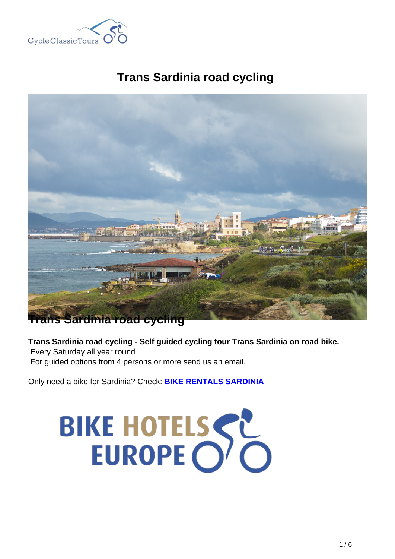

# **Trans Sardinia road cycling**



### **Sardinia road cycling**

**Trans Sardinia road cycling - Self guided cycling tour Trans Sardinia on road bike.**

Every Saturday all year round For guided options from 4 persons or more send us an email.

Only need a bike for Sardinia? Check: **[BIKE RENTALS SARDINIA](https://www.cctbikerental.com/location/sardinia-bike-rentals/)**

# BIKE HOTELSSE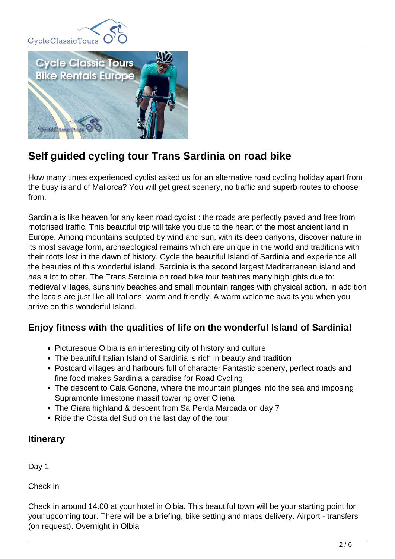



## **Self guided cycling tour Trans Sardinia on road bike**

How many times experienced cyclist asked us for an alternative road cycling holiday apart from the busy island of Mallorca? You will get great scenery, no traffic and superb routes to choose from.

Sardinia is like heaven for any keen road cyclist : the roads are perfectly paved and free from motorised traffic. This beautiful trip will take you due to the heart of the most ancient land in Europe. Among mountains sculpted by wind and sun, with its deep canyons, discover nature in its most savage form, archaeological remains which are unique in the world and traditions with their roots lost in the dawn of history. Cycle the beautiful Island of Sardinia and experience all the beauties of this wonderful island. Sardinia is the second largest Mediterranean island and has a lot to offer. The Trans Sardinia on road bike tour features many highlights due to: medieval villages, sunshiny beaches and small mountain ranges with physical action. In addition the locals are just like all Italians, warm and friendly. A warm welcome awaits you when you arrive on this wonderful Island.

#### **Enjoy fitness with the qualities of life on the wonderful Island of Sardinia!**

- Picturesque Olbia is an interesting city of history and culture
- The beautiful Italian Island of Sardinia is rich in beauty and tradition
- Postcard villages and harbours full of character Fantastic scenery, perfect roads and fine food makes Sardinia a paradise for Road Cycling
- The descent to Cala Gonone, where the mountain plunges into the sea and imposing Supramonte limestone massif towering over Oliena
- The Giara highland & descent from Sa Perda Marcada on day 7
- Ride the Costa del Sud on the last day of the tour

#### **Itinerary**

Day 1

Check in

Check in around 14.00 at your hotel in Olbia. This beautiful town will be your starting point for your upcoming tour. There will be a briefing, bike setting and maps delivery. Airport - transfers (on request). Overnight in Olbia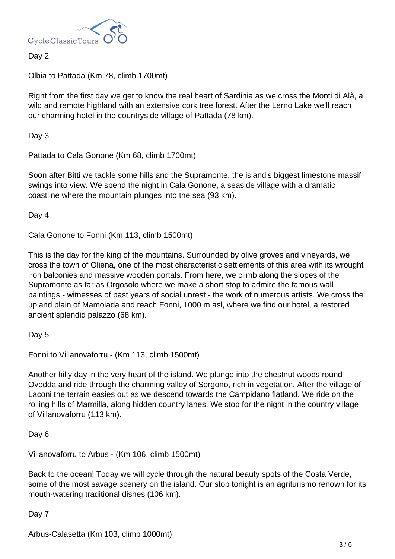

#### Day 2

Olbia to Pattada (Km 78, climb 1700mt)

Right from the first day we get to know the real heart of Sardinia as we cross the Monti di Alà, a wild and remote highland with an extensive cork tree forest. After the Lerno Lake we'll reach our charming hotel in the countryside village of Pattada (78 km).

Day 3

Pattada to Cala Gonone (Km 68, climb 1700mt)

Soon after Bitti we tackle some hills and the Supramonte, the island's biggest limestone massif swings into view. We spend the night in Cala Gonone, a seaside village with a dramatic coastline where the mountain plunges into the sea (93 km).

Day 4

Cala Gonone to Fonni (Km 113, climb 1500mt)

This is the day for the king of the mountains. Surrounded by olive groves and vineyards, we cross the town of Oliena, one of the most characteristic settlements of this area with its wrought iron balconies and massive wooden portals. From here, we climb along the slopes of the Supramonte as far as Orgosolo where we make a short stop to admire the famous wall paintings - witnesses of past years of social unrest - the work of numerous artists. We cross the upland plain of Mamoiada and reach Fonni, 1000 m asl, where we find our hotel, a restored ancient splendid palazzo (68 km).

Day 5

Fonni to Villanovaforru - (Km 113, climb 1500mt)

Another hilly day in the very heart of the island. We plunge into the chestnut woods round Ovodda and ride through the charming valley of Sorgono, rich in vegetation. After the village of Laconi the terrain easies out as we descend towards the Campidano flatland. We ride on the rolling hills of Marmilla, along hidden country lanes. We stop for the night in the country village of Villanovaforru (113 km).

Day 6

Villanovaforru to Arbus - (Km 106, climb 1500mt)

Back to the ocean! Today we will cycle through the natural beauty spots of the Costa Verde, some of the most savage scenery on the island. Our stop tonight is an agriturismo renown for its mouth-watering traditional dishes (106 km).

#### Day 7

Arbus-Calasetta (Km 103, climb 1000mt)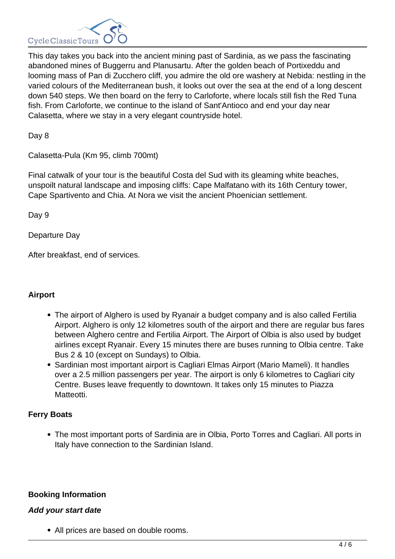

This day takes you back into the ancient mining past of Sardinia, as we pass the fascinating abandoned mines of Buggerru and Planusartu. After the golden beach of Portixeddu and looming mass of Pan di Zucchero cliff, you admire the old ore washery at Nebida: nestling in the varied colours of the Mediterranean bush, it looks out over the sea at the end of a long descent down 540 steps. We then board on the ferry to Carloforte, where locals still fish the Red Tuna fish. From Carloforte, we continue to the island of Sant'Antioco and end your day near Calasetta, where we stay in a very elegant countryside hotel.

Day 8

Calasetta-Pula (Km 95, climb 700mt)

Final catwalk of your tour is the beautiful Costa del Sud with its gleaming white beaches, unspoilt natural landscape and imposing cliffs: Cape Malfatano with its 16th Century tower, Cape Spartivento and Chia. At Nora we visit the ancient Phoenician settlement.

Day 9

Departure Day

After breakfast, end of services.

#### **Airport**

- The airport of Alghero is used by Ryanair a budget company and is also called Fertilia Airport. Alghero is only 12 kilometres south of the airport and there are regular bus fares between Alghero centre and Fertilia Airport. The Airport of Olbia is also used by budget airlines except Ryanair. Every 15 minutes there are buses running to Olbia centre. Take Bus 2 & 10 (except on Sundays) to Olbia.
- Sardinian most important airport is Cagliari Elmas Airport (Mario Mameli). It handles over a 2.5 million passengers per year. The airport is only 6 kilometres to Cagliari city Centre. Buses leave frequently to downtown. It takes only 15 minutes to Piazza Matteotti.

#### **Ferry Boats**

The most important ports of Sardinia are in Olbia, Porto Torres and Cagliari. All ports in Italy have connection to the Sardinian Island.

#### **Booking Information**

#### **Add your start date**

All prices are based on double rooms.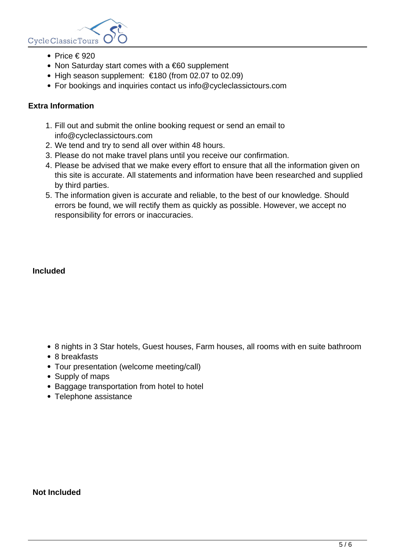

- Price  $\in$  920
- Non Saturday start comes with a €60 supplement
- $\bullet$  High season supplement:  $\epsilon$ 180 (from 02.07 to 02.09)
- For bookings and inquiries contact us info@cycleclassictours.com

#### **Extra Information**

- 1. Fill out and submit the online booking request or send an email to info@cycleclassictours.com
- 2. We tend and try to send all over within 48 hours.
- 3. Please do not make travel plans until you receive our confirmation.
- 4. Please be advised that we make every effort to ensure that all the information given on this site is accurate. All statements and information have been researched and supplied by third parties.
- 5. The information given is accurate and reliable, to the best of our knowledge. Should errors be found, we will rectify them as quickly as possible. However, we accept no responsibility for errors or inaccuracies.

#### **Included**

- 8 nights in 3 Star hotels, Guest houses, Farm houses, all rooms with en suite bathroom
- 8 breakfasts
- Tour presentation (welcome meeting/call)
- Supply of maps
- Baggage transportation from hotel to hotel
- Telephone assistance

#### **Not Included**